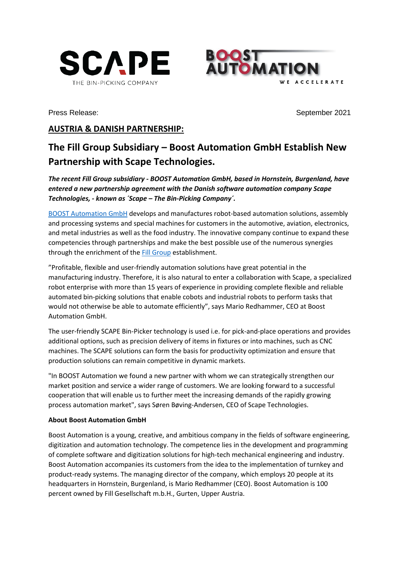



Press Release: *September 2021* 

## **AUSTRIA & DANISH PARTNERSHIP:**

## **The Fill Group Subsidiary – Boost Automation GmbH Establish New Partnership with Scape Technologies.**

*The recent Fill Group subsidiary - BOOST Automation GmbH, based in Hornstein, Burgenland, have entered a new partnership agreement with the Danish software automation company Scape Technologies, - known as ´Scape – The Bin-Picking Company´.*

[BOOST Automation GmbH](https://www.boost-automation.com/) develops and manufactures robot-based automation solutions, assembly and processing systems and special machines for customers in the automotive, aviation, electronics, and metal industries as well as the food industry. The innovative company continue to expand these competencies through partnerships and make the best possible use of the numerous synergies through the enrichment of the [Fill Group](https://www.fill.co.at/en/home/1000.html) establishment.

"Profitable, flexible and user-friendly automation solutions have great potential in the manufacturing industry. Therefore, it is also natural to enter a collaboration with Scape, a specialized robot enterprise with more than 15 years of experience in providing complete flexible and reliable automated bin-picking solutions that enable cobots and industrial robots to perform tasks that would not otherwise be able to automate efficiently", says Mario Redhammer, CEO at Boost Automation GmbH.

The user-friendly SCAPE Bin-Picker technology is used i.e. for pick-and-place operations and provides additional options, such as precision delivery of items in fixtures or into machines, such as CNC machines. The SCAPE solutions can form the basis for productivity optimization and ensure that production solutions can remain competitive in dynamic markets.

"In BOOST Automation we found a new partner with whom we can strategically strengthen our market position and service a wider range of customers. We are looking forward to a successful cooperation that will enable us to further meet the increasing demands of the rapidly growing process automation market", says Søren Bøving-Andersen, CEO of Scape Technologies.

## **About Boost Automation GmbH**

Boost Automation is a young, creative, and ambitious company in the fields of software engineering, digitization and automation technology. The competence lies in the development and programming of complete software and digitization solutions for high-tech mechanical engineering and industry. Boost Automation accompanies its customers from the idea to the implementation of turnkey and product-ready systems. The managing director of the company, which employs 20 people at its headquarters in Hornstein, Burgenland, is Mario Redhammer (CEO). Boost Automation is 100 percent owned by Fill Gesellschaft m.b.H., Gurten, Upper Austria.